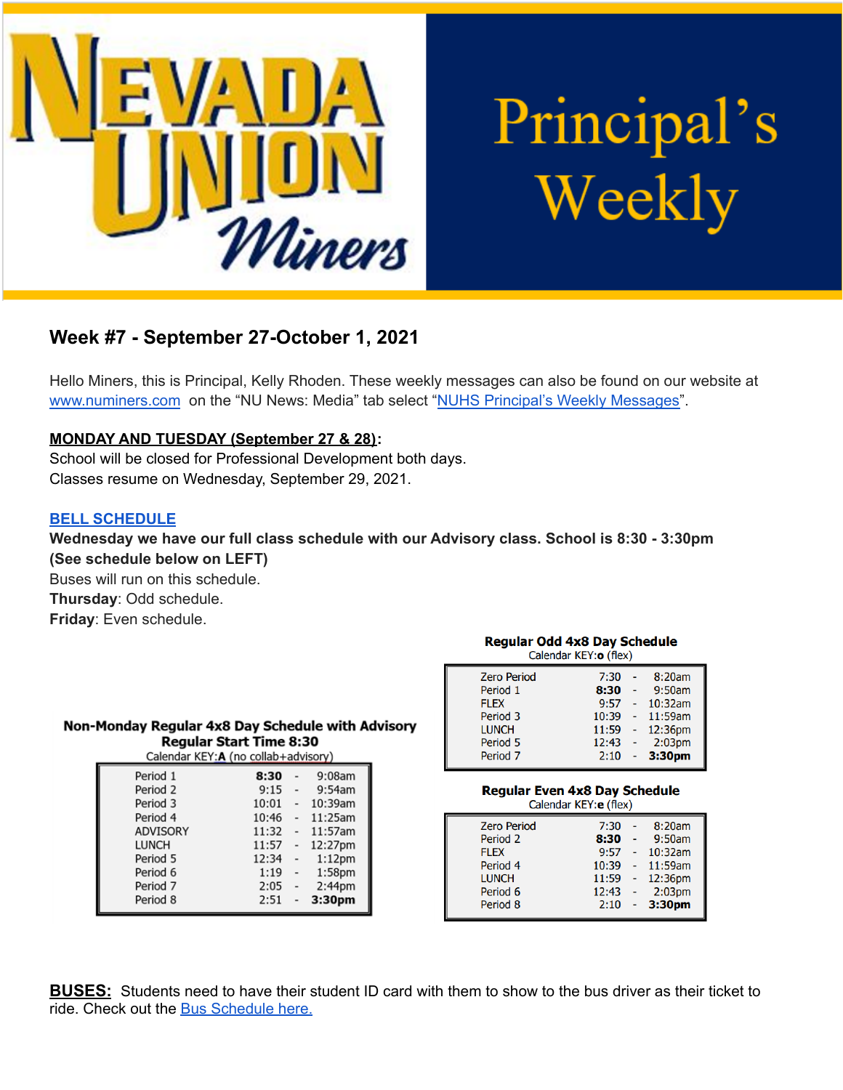

# Principal's Weekly

## **Week #7 - September 27-October 1, 2021**

Hello Miners, this is Principal, Kelly Rhoden. These weekly messages can also be found on our website at [www.numiners.com](http://www.numiners.com) on the "NU News: Media" tab select "NUHS Principal's Weekly [Messages"](https://nevadaunion.njuhsd.com/NU-NewsMedia/NUHS-Principals-Weekly-Messages/index.html).

#### **MONDAY AND TUESDAY (September 27 & 28):**

School will be closed for Professional Development both days. Classes resume on Wednesday, September 29, 2021.

#### **BELL [SCHEDULE](https://nevadaunion.njuhsd.com/documents/Bell%20Schedules/Bell-Schedules.pdf)**

#### **Wednesday we have our full class schedule with our Advisory class. School is 8:30 - 3:30pm (See schedule below on LEFT)**

Buses will run on this schedule. **Thursday**: Odd schedule. **Friday**: Even schedule.

**LUNCH** 

Period 5

Period 6

Period 7

Period 8

| Non-Monday Regular 4x8 Day Schedule with Advisory<br>Calendar KEY: A (no collab+advisory) | <b>Regular Start Time 8:30</b> |            |  |
|-------------------------------------------------------------------------------------------|--------------------------------|------------|--|
| Period 1                                                                                  | 8:30                           | 9:08am     |  |
| Period 2                                                                                  | 9:15                           | 9:54am     |  |
| Period 3                                                                                  | 10:01                          | $-10:39am$ |  |
| Period 4                                                                                  | 10:46                          | - 11:25am  |  |
| <b>ADVISORY</b>                                                                           | 11:32                          | $-11:57am$ |  |

11:57 - 12:27pm

1:12pm

1:58pm

2:44pm

3:30pm

 $12:34 -$ 

 $2:51 -$ 

 $1:19$ 

 $2:05$ 

#### **Regular Odd 4x8 Day Schedule** Calendar KEY: o (flex)

| <b>Zero Period</b>  | 7:30  | $\sim$ | 8:20am             |
|---------------------|-------|--------|--------------------|
| Period 1            | 8:30  |        | 9:50am             |
| <b>FLEX</b>         | 9:57  | $\sim$ | 10:32am            |
| Period 3            | 10:39 | $\sim$ | 11:59am            |
| <b>LUNCH</b>        | 11:59 | ÷      | 12:36pm            |
| Period 5            | 12:43 | $\sim$ | 2:03 <sub>pm</sub> |
| Period <sub>7</sub> | 2:10  |        | 3:30pm             |
|                     |       |        |                    |

#### **Regular Even 4x8 Day Schedule**

| Calendar KEY: e (flex) |       |  |                    |  |
|------------------------|-------|--|--------------------|--|
| <b>Zero Period</b>     | 7:30  |  | 8:20am             |  |
| Period 2               | 8:30  |  | 9:50am             |  |
| <b>FLEX</b>            | 9:57  |  | 10:32am            |  |
| Period 4               | 10:39 |  | 11:59am            |  |
| <b>LUNCH</b>           | 11:59 |  | 12:36pm            |  |
| Period 6               | 12:43 |  | 2:03 <sub>pm</sub> |  |
| Period 8               | 2:10  |  | 3:30pm             |  |
|                        |       |  |                    |  |

**BUSES:** Students need to have their student ID card with them to show to the bus driver as their ticket to ride. Check out the Bus [Schedule](https://www.njuhsd.com/documents/NUHS-2021-2022-MASTER-SCHEDULE-8-20-21.pdf) here.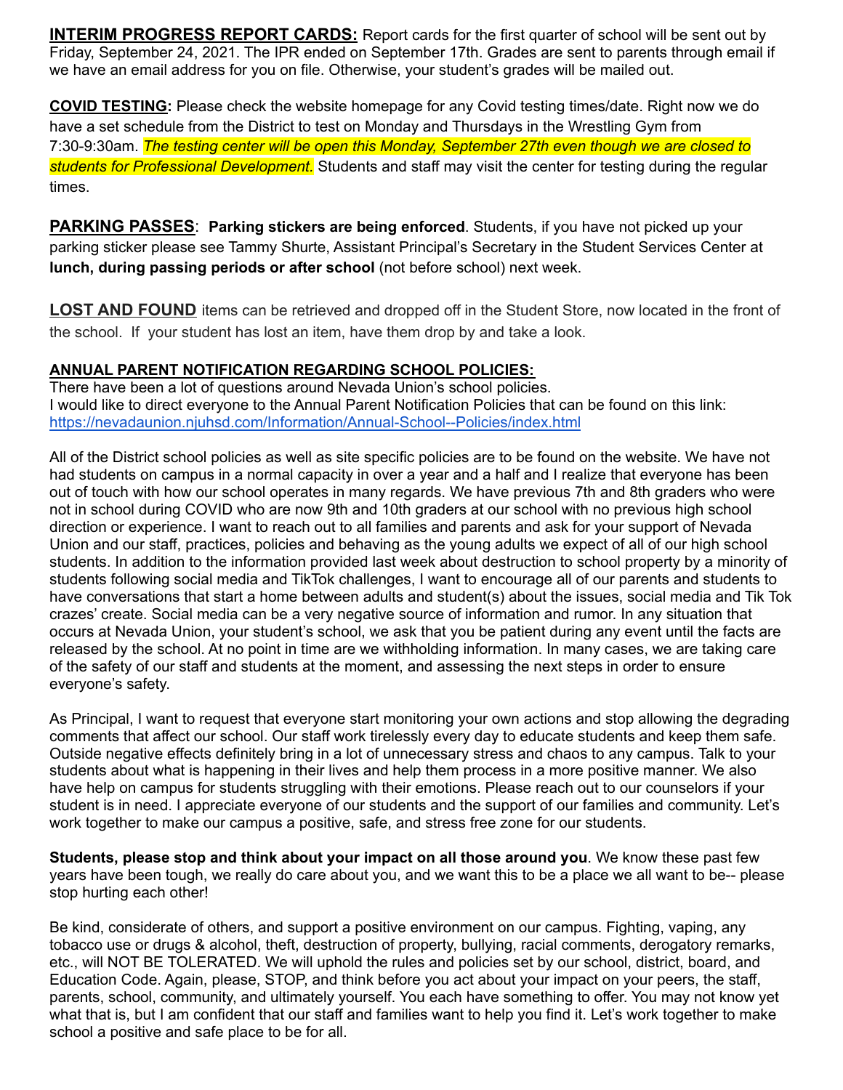**INTERIM PROGRESS REPORT CARDS:** Report cards for the first quarter of school will be sent out by Friday, September 24, 2021. The IPR ended on September 17th. Grades are sent to parents through email if we have an email address for you on file. Otherwise, your student's grades will be mailed out.

**COVID TESTING:** Please check the website homepage for any Covid testing times/date. Right now we do have a set schedule from the District to test on Monday and Thursdays in the Wrestling Gym from 7:30-9:30am. *The testing center will be open this Monday, September 27th even though we are closed to students for Professional Development.* Students and staff may visit the center for testing during the regular times.

**PARKING PASSES**: **Parking stickers are being enforced**. Students, if you have not picked up your parking sticker please see Tammy Shurte, Assistant Principal's Secretary in the Student Services Center at **lunch, during passing periods or after school** (not before school) next week.

**LOST AND FOUND** items can be retrieved and dropped off in the Student Store, now located in the front of the school. If your student has lost an item, have them drop by and take a look.

#### **ANNUAL PARENT NOTIFICATION REGARDING SCHOOL POLICIES:**

There have been a lot of questions around Nevada Union's school policies. I would like to direct everyone to the Annual Parent Notification Policies that can be found on this link: <https://nevadaunion.njuhsd.com/Information/Annual-School--Policies/index.html>

All of the District school policies as well as site specific policies are to be found on the website. We have not had students on campus in a normal capacity in over a year and a half and I realize that everyone has been out of touch with how our school operates in many regards. We have previous 7th and 8th graders who were not in school during COVID who are now 9th and 10th graders at our school with no previous high school direction or experience. I want to reach out to all families and parents and ask for your support of Nevada Union and our staff, practices, policies and behaving as the young adults we expect of all of our high school students. In addition to the information provided last week about destruction to school property by a minority of students following social media and TikTok challenges, I want to encourage all of our parents and students to have conversations that start a home between adults and student(s) about the issues, social media and Tik Tok crazes' create. Social media can be a very negative source of information and rumor. In any situation that occurs at Nevada Union, your student's school, we ask that you be patient during any event until the facts are released by the school. At no point in time are we withholding information. In many cases, we are taking care of the safety of our staff and students at the moment, and assessing the next steps in order to ensure everyone's safety.

As Principal, I want to request that everyone start monitoring your own actions and stop allowing the degrading comments that affect our school. Our staff work tirelessly every day to educate students and keep them safe. Outside negative effects definitely bring in a lot of unnecessary stress and chaos to any campus. Talk to your students about what is happening in their lives and help them process in a more positive manner. We also have help on campus for students struggling with their emotions. Please reach out to our counselors if your student is in need. I appreciate everyone of our students and the support of our families and community. Let's work together to make our campus a positive, safe, and stress free zone for our students.

**Students, please stop and think about your impact on all those around you**. We know these past few years have been tough, we really do care about you, and we want this to be a place we all want to be-- please stop hurting each other!

Be kind, considerate of others, and support a positive environment on our campus. Fighting, vaping, any tobacco use or drugs & alcohol, theft, destruction of property, bullying, racial comments, derogatory remarks, etc., will NOT BE TOLERATED. We will uphold the rules and policies set by our school, district, board, and Education Code. Again, please, STOP, and think before you act about your impact on your peers, the staff, parents, school, community, and ultimately yourself. You each have something to offer. You may not know yet what that is, but I am confident that our staff and families want to help you find it. Let's work together to make school a positive and safe place to be for all.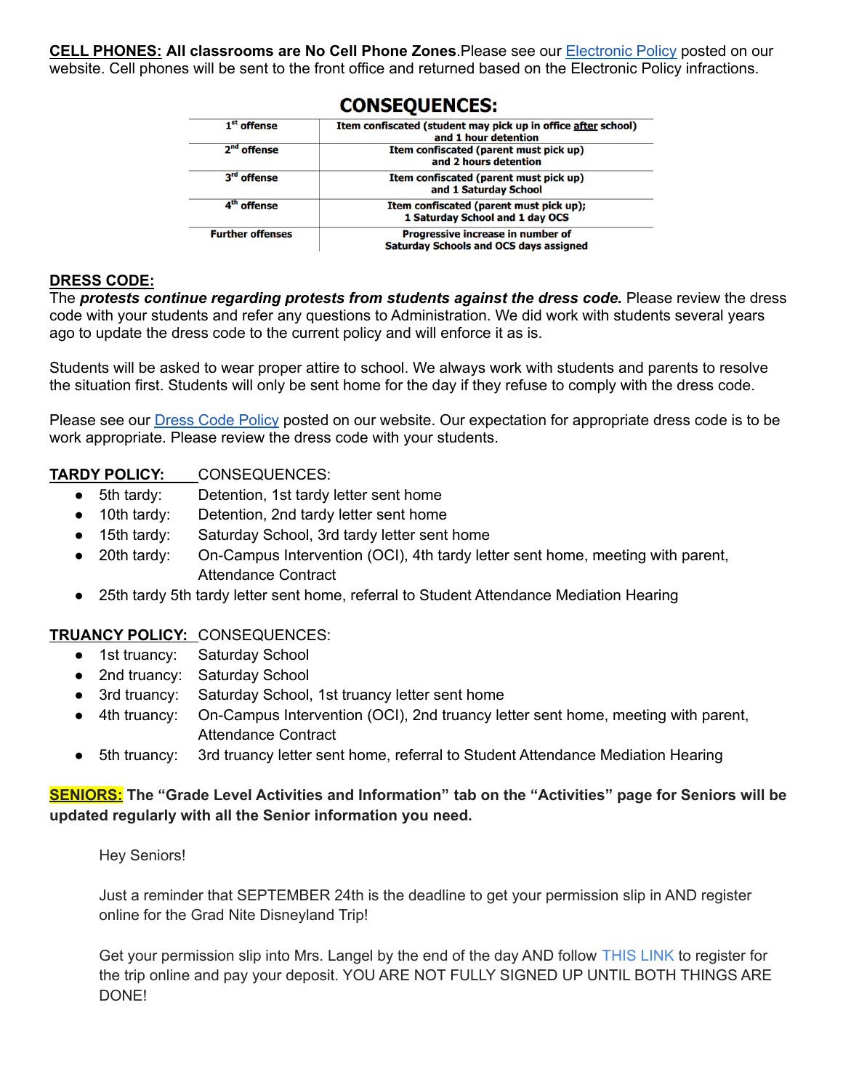**CELL PHONES: All classrooms are No Cell Phone Zones**.Please see our [Electronic](https://nevadaunion.njuhsd.com/documents/Nevada%20Union%20HS/Information/Annual%20Forms/19.20%20Electronics%20Policy.pdf) Policy posted on our website. Cell phones will be sent to the front office and returned based on the Electronic Policy infractions.

CANCEAUFMAEC.

| 1 <sup>st</sup> offense | Item confiscated (student may pick up in office after school)<br>and 1 hour detention |
|-------------------------|---------------------------------------------------------------------------------------|
| 2 <sup>nd</sup> offense | Item confiscated (parent must pick up)<br>and 2 hours detention                       |
| 3 <sup>rd</sup> offense | Item confiscated (parent must pick up)<br>and 1 Saturday School                       |
| 4 <sup>th</sup> offense | Item confiscated (parent must pick up);<br>1 Saturday School and 1 day OCS            |
| <b>Further offenses</b> | Progressive increase in number of<br><b>Saturday Schools and OCS days assigned</b>    |

#### **DRESS CODE:**

The *protests continue regarding protests from students against the dress code.* Please review the dress code with your students and refer any questions to Administration. We did work with students several years ago to update the dress code to the current policy and will enforce it as is.

Students will be asked to wear proper attire to school. We always work with students and parents to resolve the situation first. Students will only be sent home for the day if they refuse to comply with the dress code.

Please see our Dress Code [Policy](https://nevadaunion.njuhsd.com/documents/Nevada%20Union%20HS/Information/Annual%20Forms/19.20.DRESS.CODE.FULL.pdf) posted on our website. Our expectation for appropriate dress code is to be work appropriate. Please review the dress code with your students.

#### **TARDY POLICY:** CONSEQUENCES:

- 5th tardy: Detention, 1st tardy letter sent home
- 10th tardy: Detention, 2nd tardy letter sent home
- 15th tardy: Saturday School, 3rd tardy letter sent home
- 20th tardy: On-Campus Intervention (OCI), 4th tardy letter sent home, meeting with parent, Attendance Contract
- 25th tardy 5th tardy letter sent home, referral to Student Attendance Mediation Hearing

#### **TRUANCY POLICY:** CONSEQUENCES:

- 1st truancy: Saturday School
- 2nd truancy: Saturday School
- 3rd truancy: Saturday School, 1st truancy letter sent home
- 4th truancy: On-Campus Intervention (OCI), 2nd truancy letter sent home, meeting with parent, Attendance Contract
- 5th truancy: 3rd truancy letter sent home, referral to Student Attendance Mediation Hearing

#### **SENIORS: The "Grade Level Activities and Information" tab on the "Activities" page for Seniors will be updated regularly with all the Senior information you need.**

Hey Seniors!

Just a reminder that SEPTEMBER 24th is the deadline to get your permission slip in AND register online for the Grad Nite Disneyland Trip!

Get your permission slip into Mrs. Langel by the end of the day AND follow [THIS](https://secure.usastudenttravel.com/travsignup/zip.cfm) LINK to register for the trip online and pay your deposit. YOU ARE NOT FULLY SIGNED UP UNTIL BOTH THINGS ARE DONE!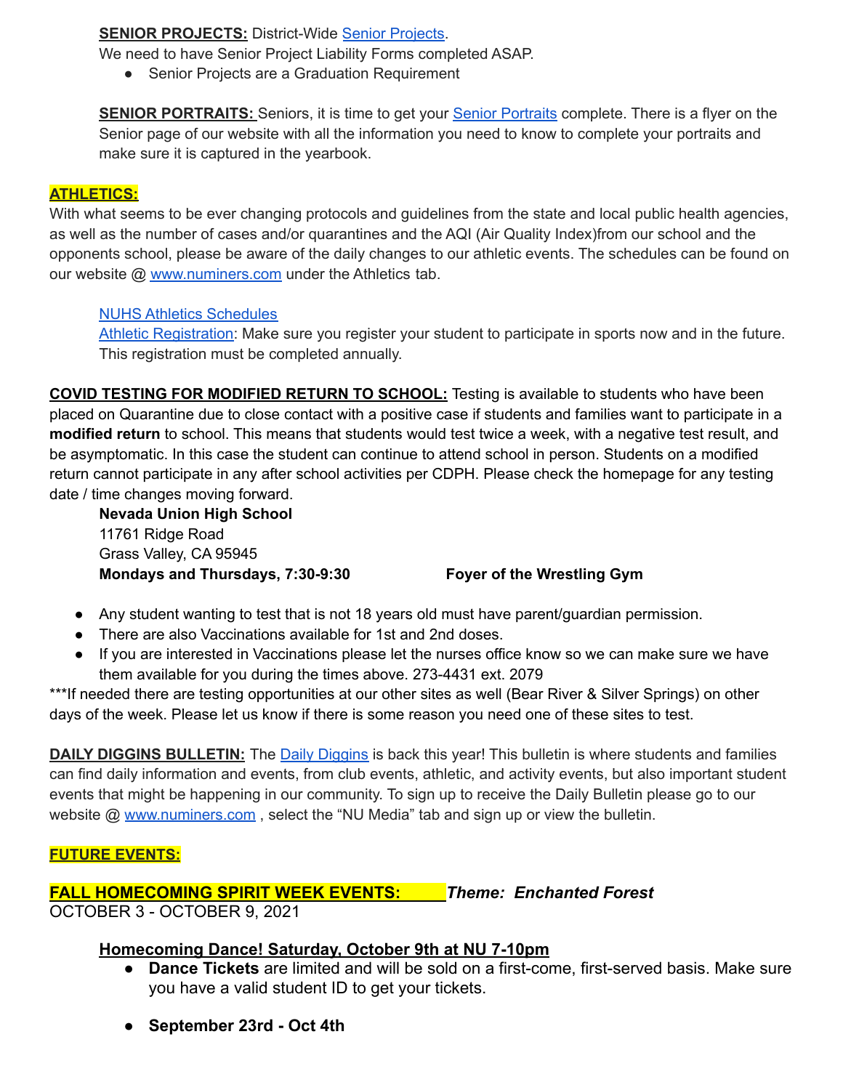#### **SENIOR PROJECTS:** District-Wide Senior [Projects](https://nevadaunion.njuhsd.com/Information/Senior-Project/index.html).

We need to have Senior Project Liability Forms completed ASAP.

● Senior Projects are a Graduation Requirement

**SENIOR PORTRAITS:** Seniors, it is time to get your **Senior [Portraits](https://nevadaunion.njuhsd.com/Activities/Grade-Level-Activities-and-Information/index.html)** complete. There is a flyer on the Senior page of our website with all the information you need to know to complete your portraits and make sure it is captured in the yearbook.

#### **ATHLETICS:**

With what seems to be ever changing protocols and guidelines from the state and local public health agencies, as well as the number of cases and/or quarantines and the AQI (Air Quality Index)from our school and the opponents school, please be aware of the daily changes to our athletic events. The schedules can be found on our website @ [www.numiners.com](http://www.numiners.com) under the Athletics tab.

#### NUHS Athletics [Schedules](https://nevadaunion.njuhsd.com/Athletics/Sports-Calendar--Schedules/index.html)

Athletic [Registration:](https://nevadaunion.njuhsd.com/Athletics/How-to-Register-For-a-Sport/index.html) Make sure you register your student to participate in sports now and in the future. This registration must be completed annually.

**COVID TESTING FOR MODIFIED RETURN TO SCHOOL:** Testing is available to students who have been placed on Quarantine due to close contact with a positive case if students and families want to participate in a **modified return** to school. This means that students would test twice a week, with a negative test result, and be asymptomatic. In this case the student can continue to attend school in person. Students on a modified return cannot participate in any after school activities per CDPH. Please check the homepage for any testing date / time changes moving forward.

**Nevada Union High School** 11761 Ridge Road Grass Valley, CA 95945 **Mondays and Thursdays, 7:30-9:30 Foyer of the Wrestling Gym**

- Any student wanting to test that is not 18 years old must have parent/guardian permission.
- There are also Vaccinations available for 1st and 2nd doses.
- If you are interested in Vaccinations please let the nurses office know so we can make sure we have them available for you during the times above. 273-4431 ext. 2079

\*\*\*If needed there are testing opportunities at our other sites as well (Bear River & Silver Springs) on other days of the week. Please let us know if there is some reason you need one of these sites to test.

**DAILY DIGGINS BULLETIN:** The Daily [Diggins](https://nevadaunion.njuhsd.com/NU-NewsMedia/Daily-Diggins-Bulletin/index.html) is back this year! This bulletin is where students and families can find daily information and events, from club events, athletic, and activity events, but also important student events that might be happening in our community. To sign up to receive the Daily Bulletin please go to our website @ [www.numiners.com](http://www.numiners.com), select the "NU Media" tab and sign up or view the bulletin.

#### **FUTURE EVENTS:**

#### **FALL HOMECOMING SPIRIT WEEK EVENTS:** *Theme: Enchanted Forest* OCTOBER 3 - OCTOBER 9, 2021

#### **Homecoming Dance! Saturday, October 9th at NU 7-10pm**

- **Dance Tickets** are limited and will be sold on a first-come, first-served basis. Make sure you have a valid student ID to get your tickets.
- **● September 23rd Oct 4th**